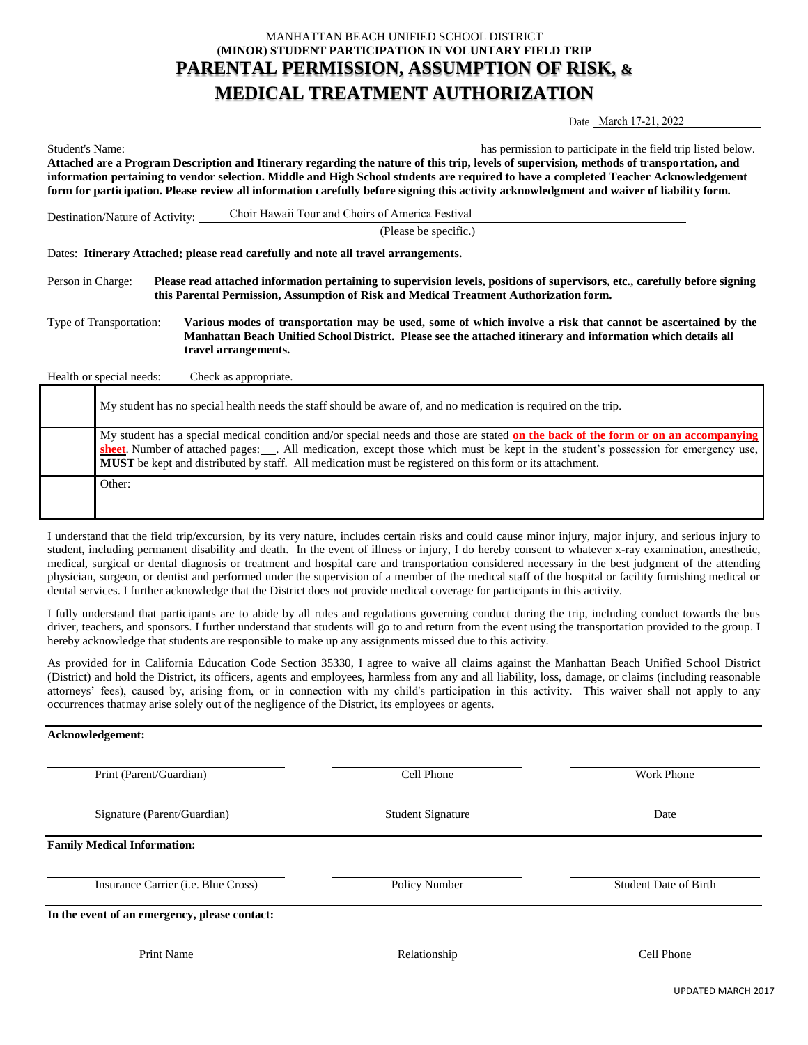## MANHATTAN BEACH UNIFIED SCHOOL DISTRICT **(MINOR) STUDENT PARTICIPATION IN VOLUNTARY FIELD TRIP PARENTAL PERMISSION, ASSUMPTION OF RISK, & MEDICAL TREATMENT AUTHORIZATION**

Date March 17-21, 2022

| Student's Name:                                                                                                                                                                                                                                                                   | has permission to participate in the field trip listed below.                                                                                                                                                                                       |  |  |  |
|-----------------------------------------------------------------------------------------------------------------------------------------------------------------------------------------------------------------------------------------------------------------------------------|-----------------------------------------------------------------------------------------------------------------------------------------------------------------------------------------------------------------------------------------------------|--|--|--|
| Attached are a Program Description and Itinerary regarding the nature of this trip, levels of supervision, methods of transportation, and<br>information pertaining to vendor selection. Middle and High School students are required to have a completed Teacher Acknowledgement |                                                                                                                                                                                                                                                     |  |  |  |
| form for participation. Please review all information carefully before signing this activity acknowledgment and waiver of liability form.                                                                                                                                         |                                                                                                                                                                                                                                                     |  |  |  |
| Destination/Nature of Activity:                                                                                                                                                                                                                                                   | Choir Hawaii Tour and Choirs of America Festival                                                                                                                                                                                                    |  |  |  |
|                                                                                                                                                                                                                                                                                   | (Please be specific.)                                                                                                                                                                                                                               |  |  |  |
| Dates: Itinerary Attached; please read carefully and note all travel arrangements.                                                                                                                                                                                                |                                                                                                                                                                                                                                                     |  |  |  |
| Please read attached information pertaining to supervision levels, positions of supervisors, etc., carefully before signing<br>Person in Charge:<br>this Parental Permission, Assumption of Risk and Medical Treatment Authorization form.                                        |                                                                                                                                                                                                                                                     |  |  |  |
| Type of Transportation:                                                                                                                                                                                                                                                           | Various modes of transportation may be used, some of which involve a risk that cannot be ascertained by the<br>Manhattan Beach Unified School District. Please see the attached itinerary and information which details all<br>travel arrangements. |  |  |  |

Health or special needs: Check as appropriate.

| My student has no special health needs the staff should be aware of, and no medication is required on the trip.                                                                                                                                                                                                                                                                               |
|-----------------------------------------------------------------------------------------------------------------------------------------------------------------------------------------------------------------------------------------------------------------------------------------------------------------------------------------------------------------------------------------------|
| My student has a special medical condition and/or special needs and those are stated on the back of the form or on an accompanying<br>sheet. Number of attached pages: ___. All medication, except those which must be kept in the student's possession for emergency use,<br><b>MUST</b> be kept and distributed by staff. All medication must be registered on this form or its attachment. |
| Other:                                                                                                                                                                                                                                                                                                                                                                                        |

I understand that the field trip/excursion, by its very nature, includes certain risks and could cause minor injury, major injury, and serious injury to student, including permanent disability and death. In the event of illness or injury, I do hereby consent to whatever x-ray examination, anesthetic, medical, surgical or dental diagnosis or treatment and hospital care and transportation considered necessary in the best judgment of the attending physician, surgeon, or dentist and performed under the supervision of a member of the medical staff of the hospital or facility furnishing medical or dental services. I further acknowledge that the District does not provide medical coverage for participants in this activity.

I fully understand that participants are to abide by all rules and regulations governing conduct during the trip, including conduct towards the bus driver, teachers, and sponsors. I further understand that students will go to and return from the event using the transportation provided to the group. I hereby acknowledge that students are responsible to make up any assignments missed due to this activity.

As provided for in California Education Code Section 35330, I agree to waive all claims against the Manhattan Beach Unified School District (District) and hold the District, its officers, agents and employees, harmless from any and all liability, loss, damage, or claims (including reasonable attorneys' fees), caused by, arising from, or in connection with my child's participation in this activity. This waiver shall not apply to any occurrences that may arise solely out of the negligence of the District, its employees or agents.

| Acknowledgement:                              |                   |                              |  |  |
|-----------------------------------------------|-------------------|------------------------------|--|--|
| Print (Parent/Guardian)                       | Cell Phone        | <b>Work Phone</b>            |  |  |
| Signature (Parent/Guardian)                   | Student Signature | Date                         |  |  |
| <b>Family Medical Information:</b>            |                   |                              |  |  |
| Insurance Carrier (i.e. Blue Cross)           | Policy Number     | <b>Student Date of Birth</b> |  |  |
| In the event of an emergency, please contact: |                   |                              |  |  |
| Print Name                                    | Relationship      | Cell Phone                   |  |  |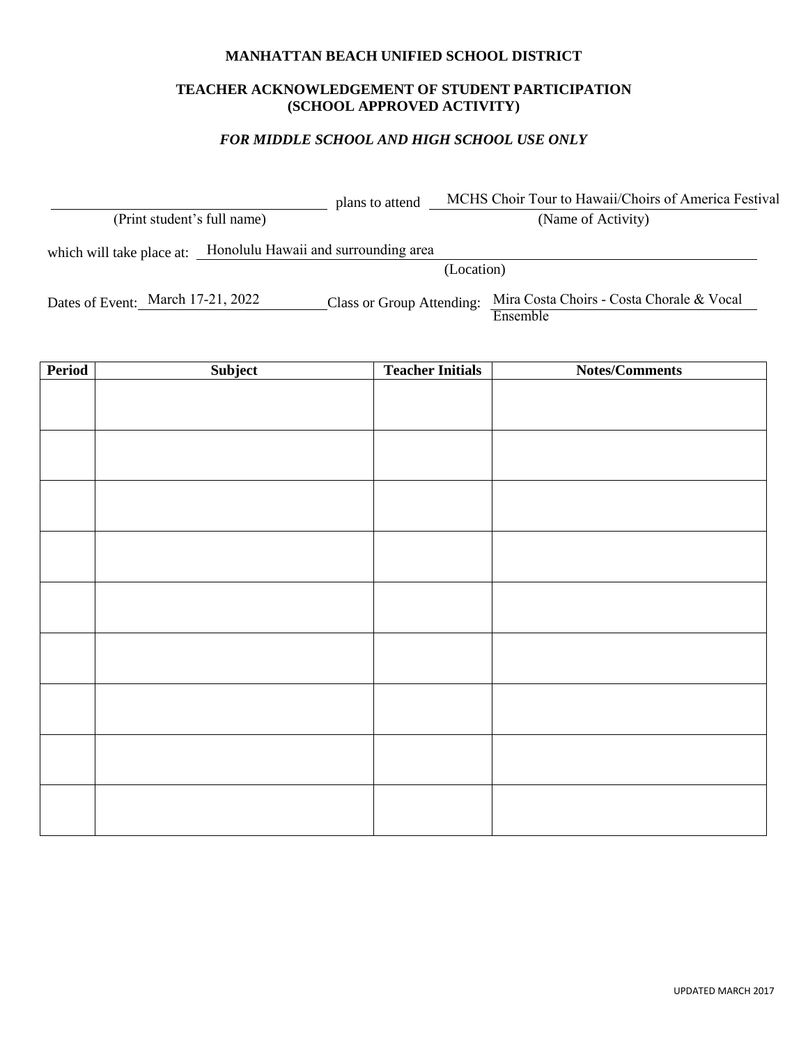#### **MANHATTAN BEACH UNIFIED SCHOOL DISTRICT**

#### **TEACHER ACKNOWLEDGEMENT OF STUDENT PARTICIPATION (SCHOOL APPROVED ACTIVITY)**

#### *FOR MIDDLE SCHOOL AND HIGH SCHOOL USE ONLY*

 plans to attend (Print student's full name) (Name of Activity) which will take place at: Honolulu Hawaii and surrounding area (Location) Dates of Event: March 17-21, 2022 MCHS Choir Tour to Hawaii/Choirs of America Festival Class or Group Attending: Mira Costa Choirs - Costa Chorale & Vocal

Ensemble

**Period Subject Teacher Initials Notes/Comments**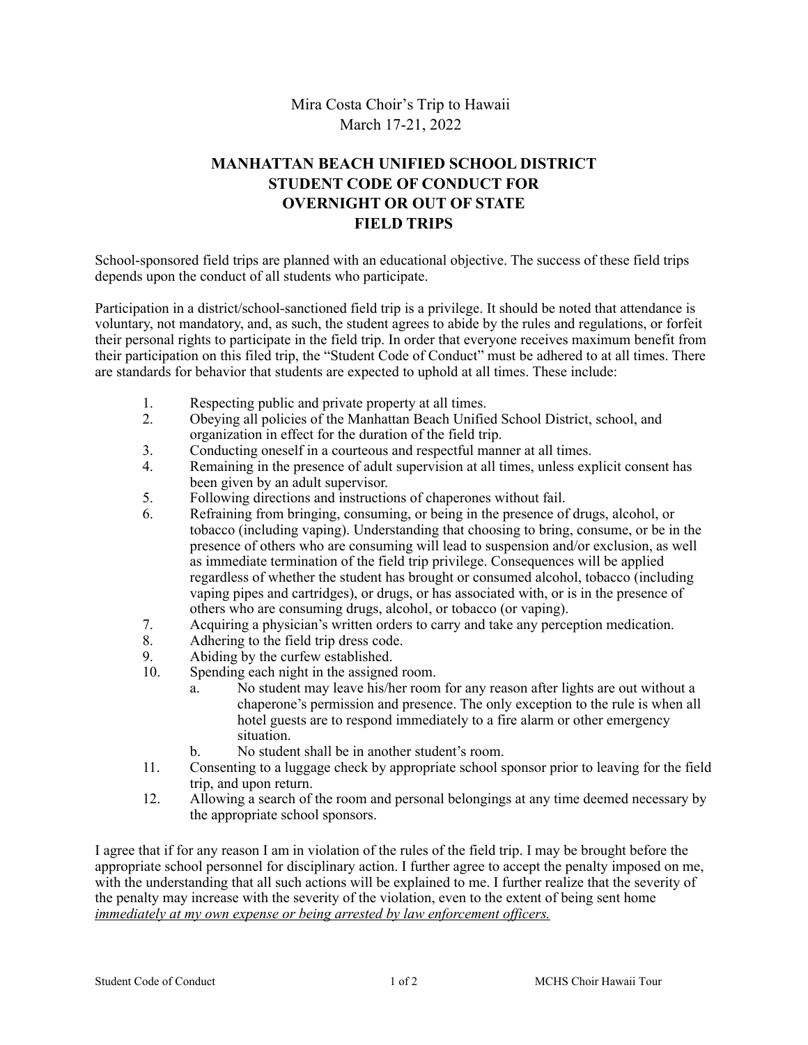## Mira Costa Choir's Trip to Hawaii March 17-21, 2022

# **MANHATTAN BEACH UNIFIED SCHOOL DISTRICT STUDENT CODE OF CONDUCT FOR OVERNIGHT OR OUT OF STATE FIELD TRIPS**

School-sponsored field trips are planned with an educational objective. The success of these field trips depends upon the conduct of all students who participate.

Participation in a district/school-sanctioned field trip is a privilege. It should be noted that attendance is voluntary, not mandatory, and, as such, the student agrees to abide by the rules and regulations, or forfeit their personal rights to participate in the field trip. In order that everyone receives maximum benefit from their participation on this filed trip, the "Student Code of Conduct" must be adhered to at all times. There are standards for behavior that students are expected to uphold at all times. These include:

- 1. Respecting public and private property at all times.
- 2. Obeying all policies of the Manhattan Beach Unified School District, school, and organization in effect for the duration of the field trip.
- 3. Conducting oneself in a courteous and respectful manner at all times.
- 4. Remaining in the presence of adult supervision at all times, unless explicit consent has been given by an adult supervisor.
- 5. Following directions and instructions of chaperones without fail.
- 6. Refraining from bringing, consuming, or being in the presence of drugs, alcohol, or tobacco (including vaping). Understanding that choosing to bring, consume, or be in the presence of others who are consuming will lead to suspension and/or exclusion, as well as immediate termination of the field trip privilege. Consequences will be applied regardless of whether the student has brought or consumed alcohol, tobacco (including vaping pipes and cartridges), or drugs, or has associated with, or is in the presence of others who are consuming drugs, alcohol, or tobacco (or vaping).
- 7. Acquiring a physician's written orders to carry and take any perception medication.<br>8. Adhering to the field trip dress code.
- 8. Adhering to the field trip dress code.<br>9 Abiding by the curfew established
- Abiding by the curfew established.
- 10. Spending each night in the assigned room.
	- a. No student may leave his/her room for any reason after lights are out without a chaperone's permission and presence. The only exception to the rule is when all hotel guests are to respond immediately to a fire alarm or other emergency situation.
	- b. No student shall be in another student's room.
- 11. Consenting to a luggage check by appropriate school sponsor prior to leaving for the field trip, and upon return.
- 12. Allowing a search of the room and personal belongings at any time deemed necessary by the appropriate school sponsors.

I agree that if for any reason I am in violation of the rules of the field trip. I may be brought before the appropriate school personnel for disciplinary action. I further agree to accept the penalty imposed on me, with the understanding that all such actions will be explained to me. I further realize that the severity of the penalty may increase with the severity of the violation, even to the extent of being sent home *immediately at my own expense or being arrested by law enforcement officers.*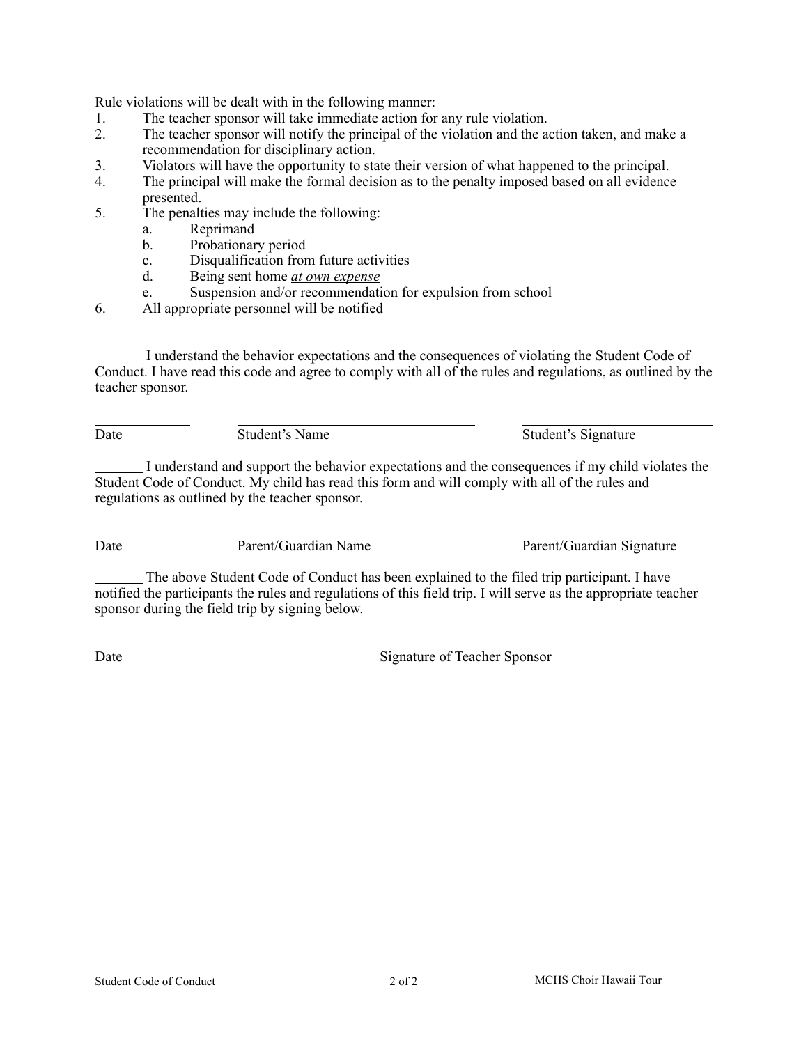Rule violations will be dealt with in the following manner:

- 1. The teacher sponsor will take immediate action for any rule violation.<br>
2 The teacher sponsor will notify the principal of the violation and the a
- The teacher sponsor will notify the principal of the violation and the action taken, and make a recommendation for disciplinary action.
- 3. Violators will have the opportunity to state their version of what happened to the principal.
- 4. The principal will make the formal decision as to the penalty imposed based on all evidence presented.
- 5. The penalties may include the following:
	- a. Reprimand
	- b. Probationary period
	- c. Disqualification from future activities
	- d. Being sent home *at own expense*
	- e. Suspension and/or recommendation for expulsion from school
- 6. All appropriate personnel will be notified

 I understand the behavior expectations and the consequences of violating the Student Code of Conduct. I have read this code and agree to comply with all of the rules and regulations, as outlined by the teacher sponsor.

Date Student's Name Student's Signature

 I understand and support the behavior expectations and the consequences if my child violates the Student Code of Conduct. My child has read this form and will comply with all of the rules and regulations as outlined by the teacher sponsor.

Date Parent/Guardian Name Parent/Guardian Signature

 The above Student Code of Conduct has been explained to the filed trip participant. I have notified the participants the rules and regulations of this field trip. I will serve as the appropriate teacher sponsor during the field trip by signing below.

Date Signature of Teacher Sponsor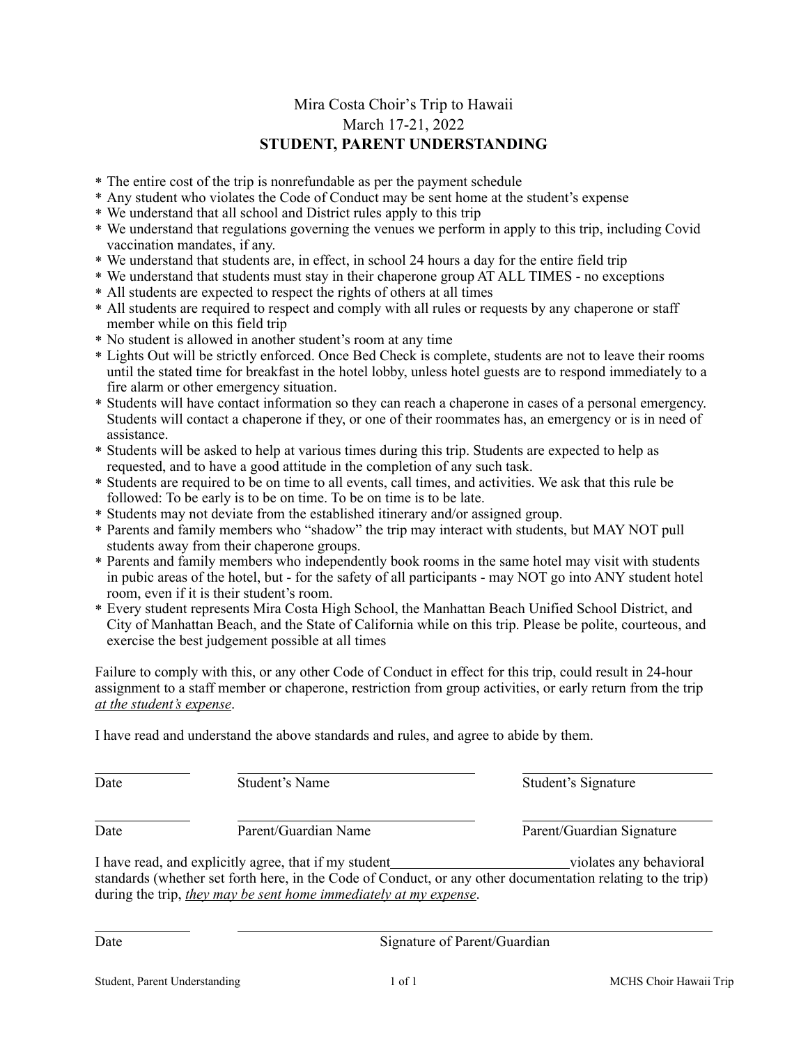## Mira Costa Choir's Trip to Hawaii March 17-21, 2022 **STUDENT, PARENT UNDERSTANDING**

- \* The entire cost of the trip is nonrefundable as per the payment schedule
- \* Any student who violates the Code of Conduct may be sent home at the student's expense
- \* We understand that all school and District rules apply to this trip
- \* We understand that regulations governing the venues we perform in apply to this trip, including Covid vaccination mandates, if any.
- \* We understand that students are, in effect, in school 24 hours a day for the entire field trip
- \* We understand that students must stay in their chaperone group AT ALL TIMES no exceptions
- \* All students are expected to respect the rights of others at all times
- \* All students are required to respect and comply with all rules or requests by any chaperone or staff member while on this field trip
- \* No student is allowed in another student's room at any time
- \* Lights Out will be strictly enforced. Once Bed Check is complete, students are not to leave their rooms until the stated time for breakfast in the hotel lobby, unless hotel guests are to respond immediately to a fire alarm or other emergency situation.
- \* Students will have contact information so they can reach a chaperone in cases of a personal emergency. Students will contact a chaperone if they, or one of their roommates has, an emergency or is in need of assistance.
- \* Students will be asked to help at various times during this trip. Students are expected to help as requested, and to have a good attitude in the completion of any such task.
- \* Students are required to be on time to all events, call times, and activities. We ask that this rule be followed: To be early is to be on time. To be on time is to be late.
- \* Students may not deviate from the established itinerary and/or assigned group.
- \* Parents and family members who "shadow" the trip may interact with students, but MAY NOT pull students away from their chaperone groups.
- \* Parents and family members who independently book rooms in the same hotel may visit with students in pubic areas of the hotel, but - for the safety of all participants - may NOT go into ANY student hotel room, even if it is their student's room.
- \* Every student represents Mira Costa High School, the Manhattan Beach Unified School District, and City of Manhattan Beach, and the State of California while on this trip. Please be polite, courteous, and exercise the best judgement possible at all times

Failure to comply with this, or any other Code of Conduct in effect for this trip, could result in 24-hour assignment to a staff member or chaperone, restriction from group activities, or early return from the trip *at the student's expense*.

I have read and understand the above standards and rules, and agree to abide by them.

Date Signature of Parent/Guardian

| Date | Student's Name                                                                                                                                                                                                                                   | Student's Signature       |
|------|--------------------------------------------------------------------------------------------------------------------------------------------------------------------------------------------------------------------------------------------------|---------------------------|
| Date | Parent/Guardian Name                                                                                                                                                                                                                             | Parent/Guardian Signature |
|      | I have read, and explicitly agree, that if my student<br>standards (whether set forth here, in the Code of Conduct, or any other documentation relating to the trip)<br>during the trip, <i>they may be sent home immediately at my expense.</i> | violates any behavioral   |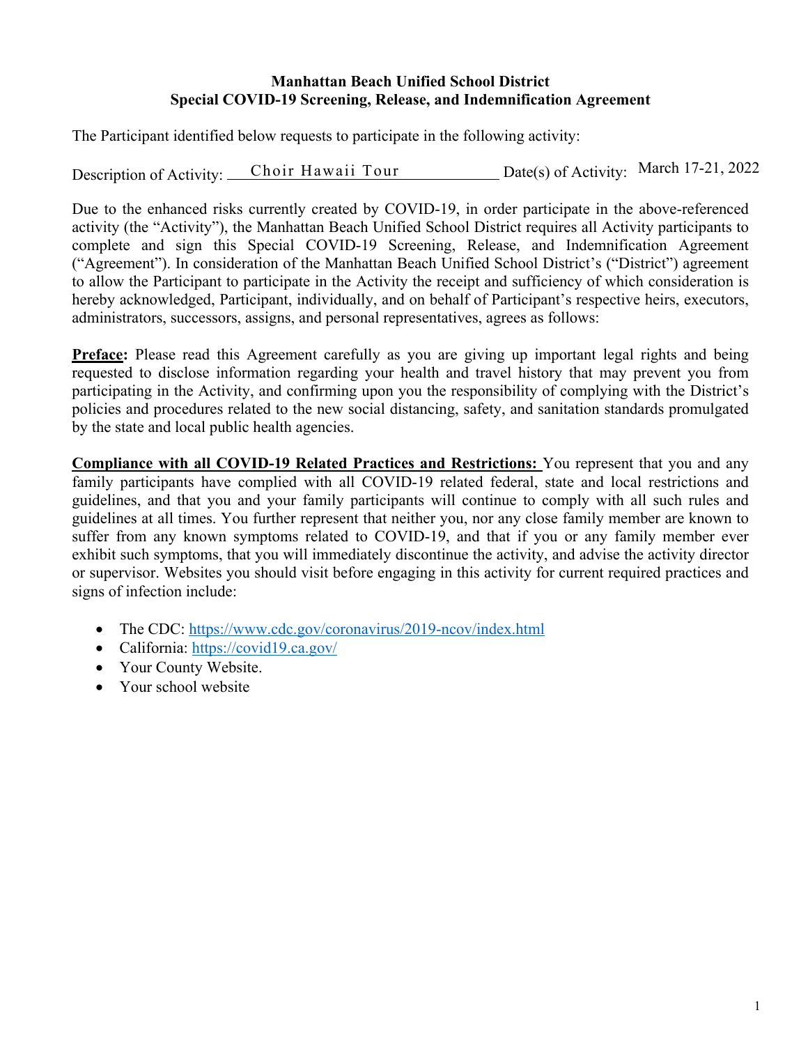## **Manhattan Beach Unified School District Special COVID-19 Screening, Release, and Indemnification Agreement**

The Participant identified below requests to participate in the following activity:

Description of Activity: Choir Hawaii Tour Date(s) of Activity: March 17-21, 2022

Due to the enhanced risks currently created by COVID-19, in order participate in the above-referenced activity (the "Activity"), the Manhattan Beach Unified School District requires all Activity participants to complete and sign this Special COVID-19 Screening, Release, and Indemnification Agreement ("Agreement"). In consideration of the Manhattan Beach Unified School District's ("District") agreement to allow the Participant to participate in the Activity the receipt and sufficiency of which consideration is hereby acknowledged, Participant, individually, and on behalf of Participant's respective heirs, executors, administrators, successors, assigns, and personal representatives, agrees as follows:

**Preface:** Please read this Agreement carefully as you are giving up important legal rights and being requested to disclose information regarding your health and travel history that may prevent you from participating in the Activity, and confirming upon you the responsibility of complying with the District's policies and procedures related to the new social distancing, safety, and sanitation standards promulgated by the state and local public health agencies.

**Compliance with all COVID-19 Related Practices and Restrictions:** You represent that you and any family participants have complied with all COVID-19 related federal, state and local restrictions and guidelines, and that you and your family participants will continue to comply with all such rules and guidelines at all times. You further represent that neither you, nor any close family member are known to suffer from any known symptoms related to COVID-19, and that if you or any family member ever exhibit such symptoms, that you will immediately discontinue the activity, and advise the activity director or supervisor. Websites you should visit before engaging in this activity for current required practices and signs of infection include:

- The CDC: https://www.cdc.gov/coronavirus/2019-ncov/index.html
- California: https://covid19.ca.gov/
- Your County Website.
- Your school website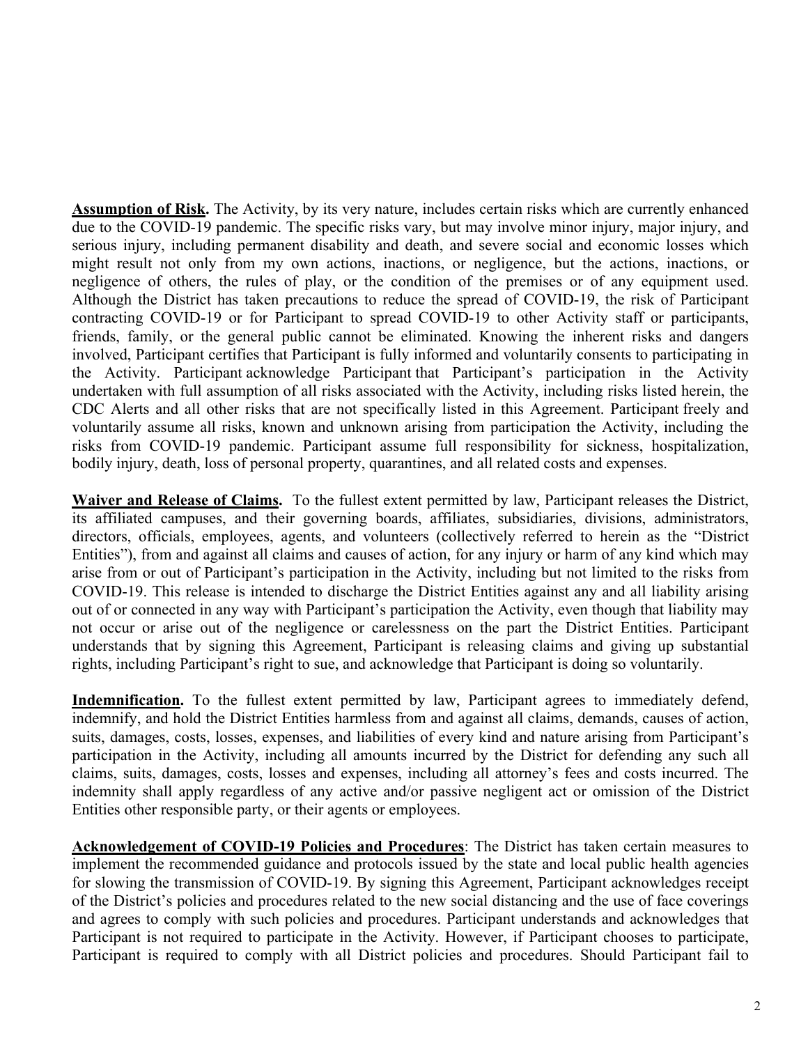**Assumption of Risk.** The Activity, by its very nature, includes certain risks which are currently enhanced due to the COVID-19 pandemic. The specific risks vary, but may involve minor injury, major injury, and serious injury, including permanent disability and death, and severe social and economic losses which might result not only from my own actions, inactions, or negligence, but the actions, inactions, or negligence of others, the rules of play, or the condition of the premises or of any equipment used. Although the District has taken precautions to reduce the spread of COVID-19, the risk of Participant contracting COVID-19 or for Participant to spread COVID-19 to other Activity staff or participants, friends, family, or the general public cannot be eliminated. Knowing the inherent risks and dangers involved, Participant certifies that Participant is fully informed and voluntarily consents to participating in the Activity. Participant acknowledge Participant that Participant's participation in the Activity undertaken with full assumption of all risks associated with the Activity, including risks listed herein, the CDC Alerts and all other risks that are not specifically listed in this Agreement. Participant freely and voluntarily assume all risks, known and unknown arising from participation the Activity, including the risks from COVID-19 pandemic. Participant assume full responsibility for sickness, hospitalization, bodily injury, death, loss of personal property, quarantines, and all related costs and expenses.

**Waiver and Release of Claims.** To the fullest extent permitted by law, Participant releases the District, its affiliated campuses, and their governing boards, affiliates, subsidiaries, divisions, administrators, directors, officials, employees, agents, and volunteers (collectively referred to herein as the "District Entities"), from and against all claims and causes of action, for any injury or harm of any kind which may arise from or out of Participant's participation in the Activity, including but not limited to the risks from COVID-19. This release is intended to discharge the District Entities against any and all liability arising out of or connected in any way with Participant's participation the Activity, even though that liability may not occur or arise out of the negligence or carelessness on the part the District Entities. Participant understands that by signing this Agreement, Participant is releasing claims and giving up substantial rights, including Participant's right to sue, and acknowledge that Participant is doing so voluntarily.

Indemnification. To the fullest extent permitted by law, Participant agrees to immediately defend, indemnify, and hold the District Entities harmless from and against all claims, demands, causes of action, suits, damages, costs, losses, expenses, and liabilities of every kind and nature arising from Participant's participation in the Activity, including all amounts incurred by the District for defending any such all claims, suits, damages, costs, losses and expenses, including all attorney's fees and costs incurred. The indemnity shall apply regardless of any active and/or passive negligent act or omission of the District Entities other responsible party, or their agents or employees.

**Acknowledgement of COVID-19 Policies and Procedures**: The District has taken certain measures to implement the recommended guidance and protocols issued by the state and local public health agencies for slowing the transmission of COVID-19. By signing this Agreement, Participant acknowledges receipt of the District's policies and procedures related to the new social distancing and the use of face coverings and agrees to comply with such policies and procedures. Participant understands and acknowledges that Participant is not required to participate in the Activity. However, if Participant chooses to participate, Participant is required to comply with all District policies and procedures. Should Participant fail to